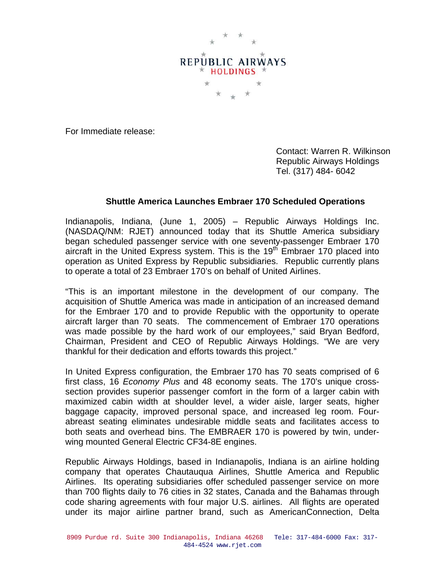

For Immediate release:

 Contact: Warren R. Wilkinson Republic Airways Holdings Tel. (317) 484- 6042

## **Shuttle America Launches Embraer 170 Scheduled Operations**

Indianapolis, Indiana, (June 1, 2005) – Republic Airways Holdings Inc. (NASDAQ/NM: RJET) announced today that its Shuttle America subsidiary began scheduled passenger service with one seventy-passenger Embraer 170 aircraft in the United Express system. This is the 19<sup>th</sup> Embraer 170 placed into operation as United Express by Republic subsidiaries. Republic currently plans to operate a total of 23 Embraer 170's on behalf of United Airlines.

"This is an important milestone in the development of our company. The acquisition of Shuttle America was made in anticipation of an increased demand for the Embraer 170 and to provide Republic with the opportunity to operate aircraft larger than 70 seats. The commencement of Embraer 170 operations was made possible by the hard work of our employees," said Bryan Bedford, Chairman, President and CEO of Republic Airways Holdings. "We are very thankful for their dedication and efforts towards this project."

In United Express configuration, the Embraer 170 has 70 seats comprised of 6 first class, 16 *Economy Plus* and 48 economy seats. The 170's unique crosssection provides superior passenger comfort in the form of a larger cabin with maximized cabin width at shoulder level, a wider aisle, larger seats, higher baggage capacity, improved personal space, and increased leg room. Fourabreast seating eliminates undesirable middle seats and facilitates access to both seats and overhead bins. The EMBRAER 170 is powered by twin, underwing mounted General Electric CF34-8E engines.

Republic Airways Holdings, based in Indianapolis, Indiana is an airline holding company that operates Chautauqua Airlines, Shuttle America and Republic Airlines. Its operating subsidiaries offer scheduled passenger service on more than 700 flights daily to 76 cities in 32 states, Canada and the Bahamas through code sharing agreements with four major U.S. airlines. All flights are operated under its major airline partner brand, such as AmericanConnection, Delta